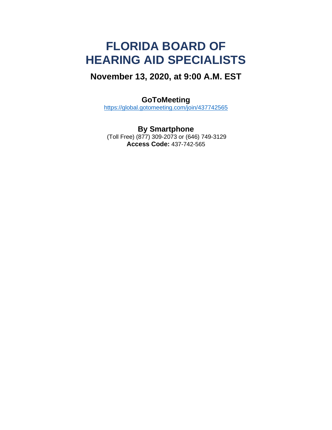# **FLORIDA BOARD OF HEARING AID SPECIALISTS**

## **November 13, 2020, at 9:00 A.M. EST**

### **GoToMeeting**

<https://global.gotomeeting.com/join/437742565>

**By Smartphone** (Toll Free) (877) 309-2073 or (646) 749-3129 **Access Code:** 437-742-565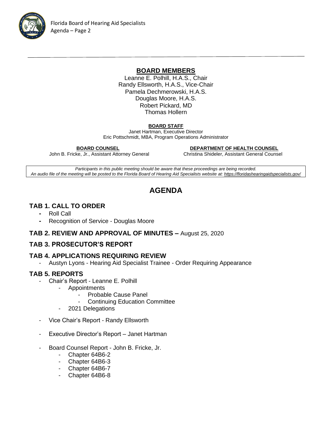

#### **BOARD MEMBERS**

Leanne E. Polhill, H.A.S., Chair Randy Ellsworth, H.A.S., Vice-Chair Pamela Dechmerowski, H.A.S. Douglas Moore, H.A.S. Robert Pickard, MD Thomas Hollern

#### **BOARD STAFF**

Janet Hartman, Executive Director Eric Pottschmidt, MBA, Program Operations Administrator

 **BOARD COUNSEL DEPARTMENT OF HEALTH COUNSEL**

John B. Fricke, Jr., Assistant Attorney General Christina Shideler, Assistant General Counsel

*Participants in this public meeting should be aware that these proceedings are being recorded. An audio file of the meeting will be posted to the Florida Board of Hearing Aid Specialists website at[: https://floridashearingaidspecialists.gov/](https://floridashearingaidspecialists.gov/)*

### **AGENDA**

#### **TAB 1. CALL TO ORDER**

- **-** Roll Call
- **-** Recognition of Service Douglas Moore

#### **TAB 2. REVIEW AND APPROVAL OF MINUTES –** August 25, 2020

#### **TAB 3. PROSECUTOR'S REPORT**

#### **TAB 4. APPLICATIONS REQUIRING REVIEW**

- Austyn Lyons - Hearing Aid Specialist Trainee - Order Requiring Appearance

#### **TAB 5. REPORTS**

- Chair's Report Leanne E. Polhill
	- **Appointments** 
		- Probable Cause Panel
		- Continuing Education Committee
	- 2021 Delegations
- Vice Chair's Report Randy Ellsworth
- Executive Director's Report Janet Hartman
- Board Counsel Report John B. Fricke, Jr.
	- Chapter 64B6-2
	- Chapter 64B6-3
	- Chapter 64B6-7
	- Chapter 64B6-8